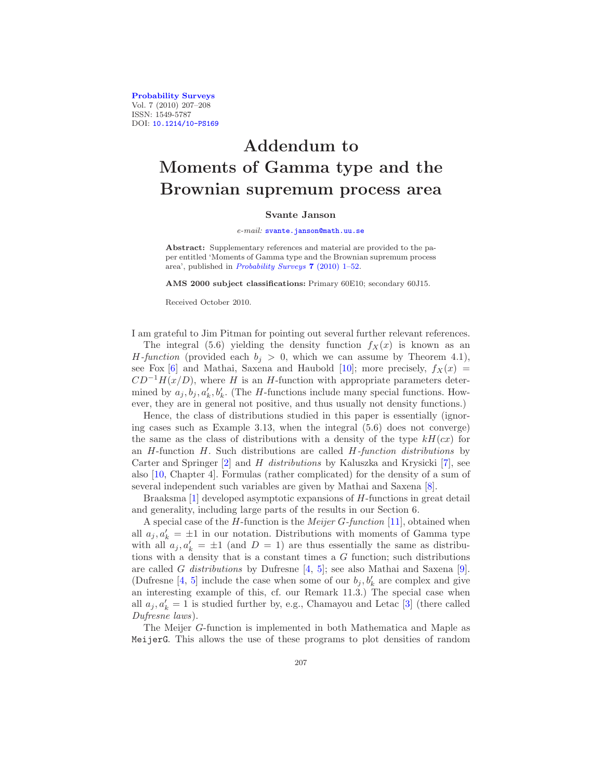[Probability Surveys](http://www.i-journals.org/ps) Vol. 7 (2010) 207–208 ISSN: 1549-5787 DOI: [10.1214/10-PS169](http://dx.doi.org/10.1214/10-PS169)

## Addendum to Moments of Gamma type and the Brownian supremum process area

## Svante Janson

## e-mail: [svante.janson@math.uu.se](mailto:svante.janson@math.uu.se)

Abstract: Supplementary references and material are provided to the paper entitled 'Moments of Gamma type and the Brownian supremum process area', published in [Probability Surveys](http://dx.doi.org/10.1214/10-PS160) 7 (2010) 1–52.

AMS 2000 subject classifications: Primary 60E10; secondary 60J15.

Received October 2010.

I am grateful to Jim Pitman for pointing out several further relevant references.

The integral (5.6) yielding the density function  $f_X(x)$  is known as an H-function (provided each  $b_j > 0$ , which we can assume by Theorem 4.1), see Fox [\[6](#page-1-0)] and Mathai, Saxena and Haubold [\[10](#page-1-1)]; more precisely,  $f_X(x) =$  $CD^{-1}H(x/D)$ , where H is an H-function with appropriate parameters determined by  $a_j, b_j, a'_k, b'_k$ . (The *H*-functions include many special functions. However, they are in general not positive, and thus usually not density functions.)

Hence, the class of distributions studied in this paper is essentially (ignoring cases such as Example 3.13, when the integral (5.6) does not converge) the same as the class of distributions with a density of the type  $kH(cx)$  for an  $H$ -function  $H$ . Such distributions are called  $H$ -function distributions by Carter and Springer [\[2](#page-1-2)] and H distributions by Kaluszka and Krysicki [\[7](#page-1-3)], see also [\[10,](#page-1-1) Chapter 4]. Formulas (rather complicated) for the density of a sum of several independent such variables are given by Mathai and Saxena [\[8\]](#page-1-4).

Braaksma [\[1\]](#page-1-5) developed asymptotic expansions of H-functions in great detail and generality, including large parts of the results in our Section 6.

A special case of the *H*-function is the *Meijer G-function* [\[11](#page-1-6)], obtained when all  $a_j, a'_k = \pm 1$  in our notation. Distributions with moments of Gamma type with all  $a_j, a'_k = \pm 1$  (and  $D = 1$ ) are thus essentially the same as distributions with a density that is a constant times a  $G$  function; such distributions are called G distributions by Dufresne  $[4, 5]$  $[4, 5]$  $[4, 5]$ ; see also Mathai and Saxena [\[9\]](#page-1-9). (Dufresne [\[4](#page-1-7), [5\]](#page-1-8) include the case when some of our  $b_j, b'_k$  are complex and give an interesting example of this, cf. our Remark 11.3.) The special case when all  $a_j, a'_k = 1$  is studied further by, e.g., Chamayou and Letac [\[3\]](#page-1-10) (there called Dufresne laws).

The Meijer G-function is implemented in both Mathematica and Maple as MeijerG. This allows the use of these programs to plot densities of random